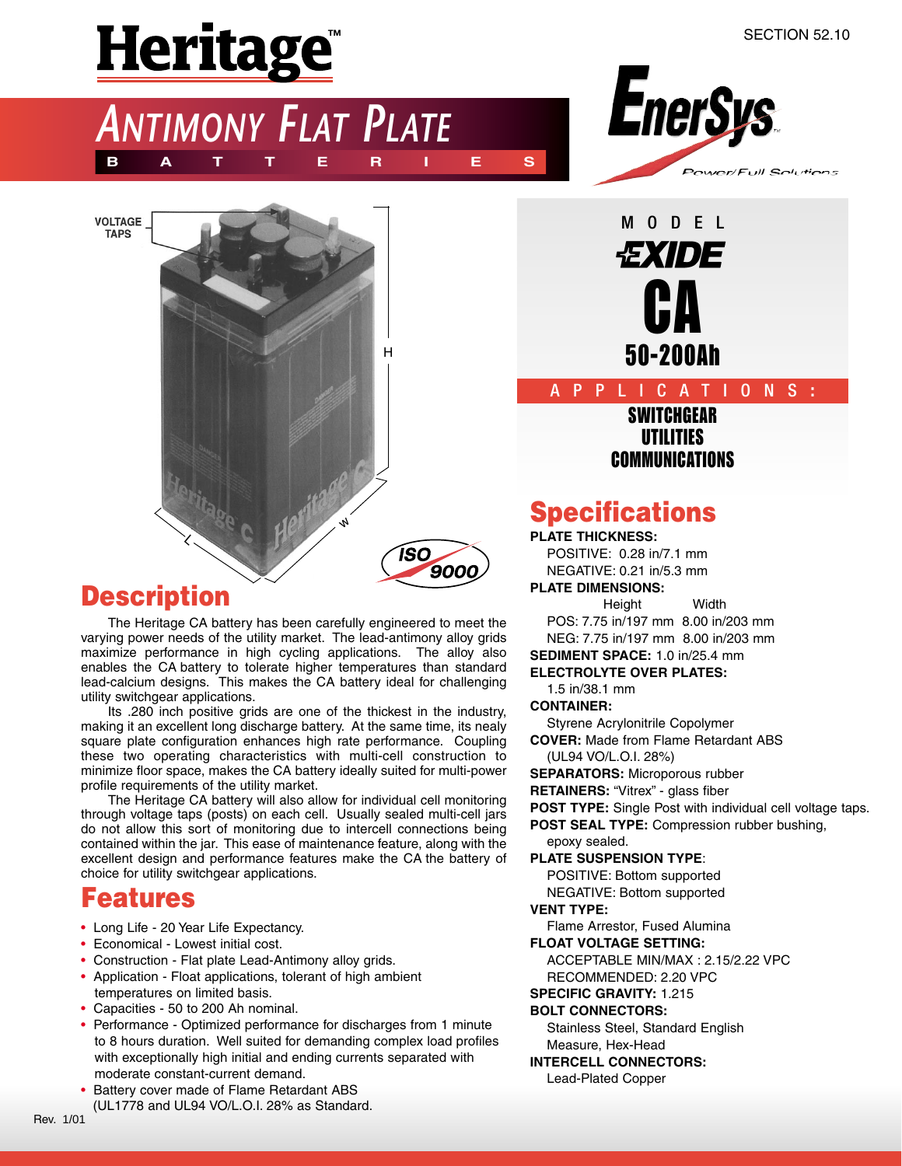# Heritage<sup>"</sup>





**NTIMONY FLAT PLATE** 

**BATTERIES**

## **Description**

The Heritage CA battery has been carefully engineered to meet the varying power needs of the utility market. The lead-antimony alloy grids maximize performance in high cycling applications. The alloy also enables the CA battery to tolerate higher temperatures than standard lead-calcium designs. This makes the CA battery ideal for challenging utility switchgear applications.

Its .280 inch positive grids are one of the thickest in the industry, making it an excellent long discharge battery. At the same time, its nealy square plate configuration enhances high rate performance. Coupling these two operating characteristics with multi-cell construction to minimize floor space, makes the CA battery ideally suited for multi-power profile requirements of the utility market.

The Heritage CA battery will also allow for individual cell monitoring through voltage taps (posts) on each cell. Usually sealed multi-cell jars do not allow this sort of monitoring due to intercell connections being contained within the jar. This ease of maintenance feature, along with the excellent design and performance features make the CA the battery of choice for utility switchgear applications.

## **Features**

- Long Life 20 Year Life Expectancy.
- Economical Lowest initial cost.
- Construction Flat plate Lead-Antimony alloy grids.
- Application Float applications, tolerant of high ambient temperatures on limited basis.
- Capacities 50 to 200 Ah nominal.
- Performance Optimized performance for discharges from 1 minute to 8 hours duration. Well suited for demanding complex load profiles with exceptionally high initial and ending currents separated with moderate constant-current demand.
- Battery cover made of Flame Retardant ABS (UL1778 and UL94 VO/L.O.I. 28% as Standard.

50-200Ah **SWITCHGEAR** UTILITIES COMMUNICATIONS APPLICATIONS **:**

**CA** 

MODEL

*EXIDE* 

## **Specifications**

**PLATE THICKNESS:** POSITIVE: 0.28 in/7.1 mm NEGATIVE: 0.21 in/5.3 mm **PLATE DIMENSIONS:**

Height Width POS: 7.75 in/197 mm 8.00 in/203 mm

NEG: 7.75 in/197 mm 8.00 in/203 mm

#### **SEDIMENT SPACE:** 1.0 in/25.4 mm **ELECTROLYTE OVER PLATES:**

1.5 in/38.1 mm

**CONTAINER:**

Styrene Acrylonitrile Copolymer

**COVER:** Made from Flame Retardant ABS (UL94 VO/L.O.I. 28%)

**SEPARATORS:** Microporous rubber

**RETAINERS:** "Vitrex" - glass fiber

**POST TYPE:** Single Post with individual cell voltage taps.

**POST SEAL TYPE:** Compression rubber bushing,

epoxy sealed.

**PLATE SUSPENSION TYPE**:

POSITIVE: Bottom supported NEGATIVE: Bottom supported

#### **VENT TYPE:**

Flame Arrestor, Fused Alumina

**FLOAT VOLTAGE SETTING:**

ACCEPTABLE MIN/MAX : 2.15/2.22 VPC RECOMMENDED: 2.20 VPC

#### **SPECIFIC GRAVITY:** 1.215

#### **BOLT CONNECTORS:**

Stainless Steel, Standard English Measure, Hex-Head

**INTERCELL CONNECTORS:**

Lead-Plated Copper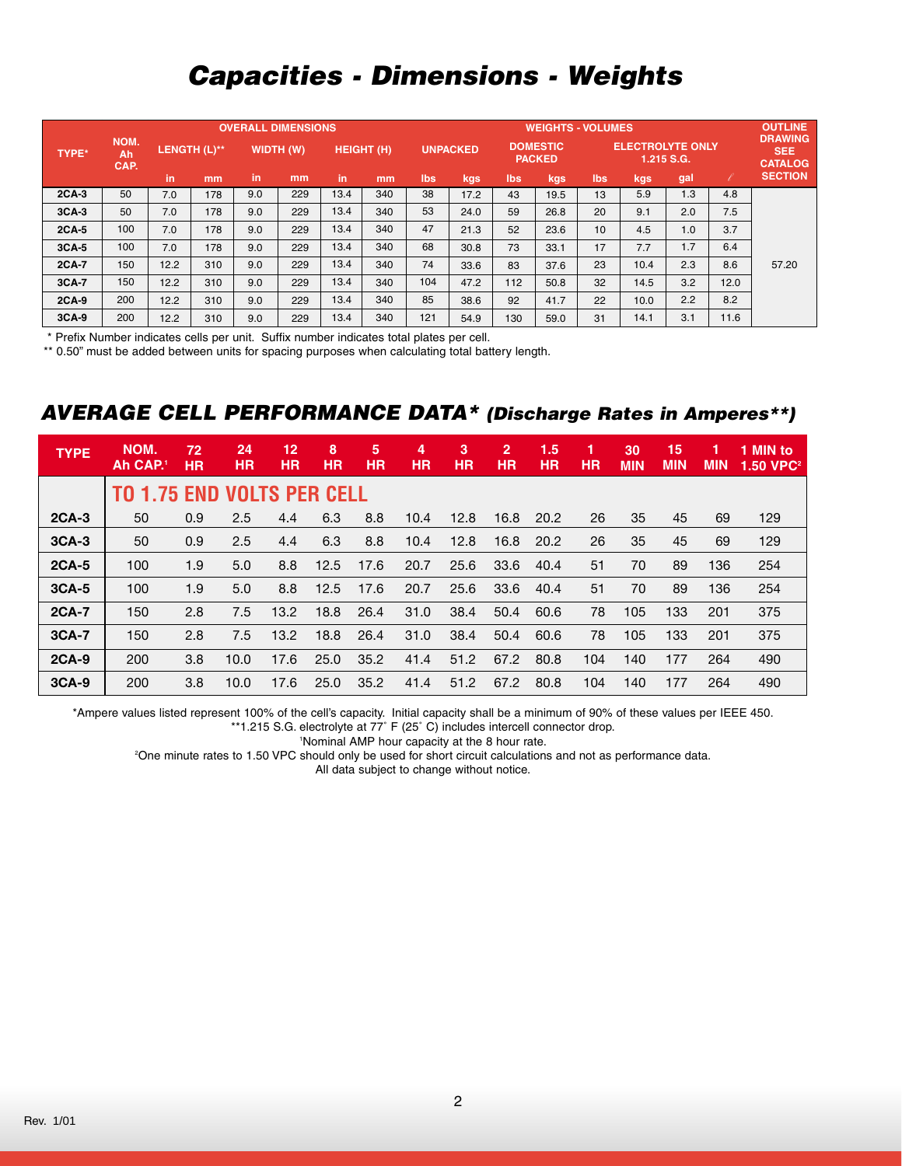## *Capacities - Dimensions - Weights*

|              |                    | <b>OVERALL DIMENSIONS</b> |     |                  |     |                   |     |                 |      |                                  |      | <b>WEIGHTS - VOLUMES</b>              |      |     |      |                                                |  |  |
|--------------|--------------------|---------------------------|-----|------------------|-----|-------------------|-----|-----------------|------|----------------------------------|------|---------------------------------------|------|-----|------|------------------------------------------------|--|--|
| <b>TYPE*</b> | NOM.<br>Ah<br>CAP. | LENGTH (L)**              |     | <b>WIDTH (W)</b> |     | <b>HEIGHT (H)</b> |     | <b>UNPACKED</b> |      | <b>DOMESTIC</b><br><b>PACKED</b> |      | <b>ELECTROLYTE ONLY</b><br>1.215 S.G. |      |     |      | <b>DRAWING</b><br><b>SEE</b><br><b>CATALOG</b> |  |  |
|              |                    | in                        | mm  | in.              | mm  | in                | mm  | lbs             | kgs  | <b>lbs</b>                       | kgs  | lbs                                   | kgs  | gal |      | <b>SECTION</b>                                 |  |  |
| $2CA-3$      | 50                 | 7.0                       | 178 | 9.0              | 229 | 13.4              | 340 | 38              | 17.2 | 43                               | 19.5 | 13                                    | 5.9  | 1.3 | 4.8  |                                                |  |  |
| $3CA-3$      | 50                 | 7.0                       | 178 | 9.0              | 229 | 13.4              | 340 | 53              | 24.0 | 59                               | 26.8 | 20                                    | 9.1  | 2.0 | 7.5  |                                                |  |  |
| $2CA-5$      | 100                | 7.0                       | 178 | 9.0              | 229 | 13.4              | 340 | 47              | 21.3 | 52                               | 23.6 | 10                                    | 4.5  | 1.0 | 3.7  |                                                |  |  |
| $3CA-5$      | 100                | 7.0                       | 178 | 9.0              | 229 | 13.4              | 340 | 68              | 30.8 | 73                               | 33.1 | 17                                    | 7.7  | 1.7 | 6.4  |                                                |  |  |
| 2CA-7        | 150                | 12.2                      | 310 | 9.0              | 229 | 13.4              | 340 | 74              | 33.6 | 83                               | 37.6 | 23                                    | 10.4 | 2.3 | 8.6  | 57.20                                          |  |  |
| 3CA-7        | 150                | 12.2                      | 310 | 9.0              | 229 | 13.4              | 340 | 104             | 47.2 | 112                              | 50.8 | 32                                    | 14.5 | 3.2 | 12.0 |                                                |  |  |
| $2CA-9$      | 200                | 12.2                      | 310 | 9.0              | 229 | 13.4              | 340 | 85              | 38.6 | 92                               | 41.7 | 22                                    | 10.0 | 2.2 | 8.2  |                                                |  |  |
| $3CA-9$      | 200                | 12.2                      | 310 | 9.0              | 229 | 13.4              | 340 | 121             | 54.9 | 130                              | 59.0 | 31                                    | 14.1 | 3.1 | 11.6 |                                                |  |  |

\* Prefix Number indicates cells per unit. Suffix number indicates total plates per cell.

\*\* 0.50" must be added between units for spacing purposes when calculating total battery length.

### *AVERAGE CELL PERFORMANCE DATA\* (Discharge Rates in Amperes\*\*)*

| <b>TYPE</b>  | NOM.<br>Ah CAP. <sup>1</sup>      | 72<br>НR | 24<br><b>HR</b> | 12<br>НR | 8<br><b>HR</b> | 5<br><b>HR</b> | 4<br><b>HR</b> | 3<br><b>HR</b> | $\overline{2}$<br><b>HR</b> | 1.5<br><b>HR</b> | 1<br>НR | 30<br><b>MIN</b> | 15<br><b>MIN</b> | 1<br><b>MIN</b> | 1 MIN to<br>$1.50$ VPC <sup>2</sup> |
|--------------|-----------------------------------|----------|-----------------|----------|----------------|----------------|----------------|----------------|-----------------------------|------------------|---------|------------------|------------------|-----------------|-------------------------------------|
|              | <b>TO 1.75 END VOLTS PER CELL</b> |          |                 |          |                |                |                |                |                             |                  |         |                  |                  |                 |                                     |
| $2CA-3$      | 50                                | 0.9      | 2.5             | 4.4      | 6.3            | 8.8            | 10.4           | 12.8           | 16.8                        | 20.2             | 26      | 35               | 45               | 69              | 129                                 |
| $3CA-3$      | 50                                | 0.9      | 2.5             | 4.4      | 6.3            | 8.8            | 10.4           | 12.8           | 16.8                        | 20.2             | 26      | 35               | 45               | 69              | 129                                 |
| <b>2CA-5</b> | 100                               | 1.9      | 5.0             | 8.8      | 12.5           | 17.6           | 20.7           | 25.6           | 33.6                        | 40.4             | 51      | 70               | 89               | 136             | 254                                 |
| $3CA-5$      | 100                               | 1.9      | 5.0             | 8.8      | 12.5           | 17.6           | 20.7           | 25.6           | 33.6                        | 40.4             | 51      | 70               | 89               | 136             | 254                                 |
| <b>2CA-7</b> | 150                               | 2.8      | 7.5             | 13.2     | 18.8           | 26.4           | 31.0           | 38.4           | 50.4                        | 60.6             | 78      | 105              | 133              | 201             | 375                                 |
| 3CA-7        | 150                               | 2.8      | 7.5             | 13.2     | 18.8           | 26.4           | 31.0           | 38.4           | 50.4                        | 60.6             | 78      | 105              | 133              | 201             | 375                                 |
| <b>2CA-9</b> | 200                               | 3.8      | 10.0            | 17.6     | 25.0           | 35.2           | 41.4           | 51.2           | 67.2                        | 80.8             | 104     | 140              | 177              | 264             | 490                                 |
| $3CA-9$      | 200                               | 3.8      | 10.0            | 17.6     | 25.0           | 35.2           | 41.4           | 51.2           | 67.2                        | 80.8             | 104     | 140              | 177              | 264             | 490                                 |

\*Ampere values listed represent 100% of the cell's capacity. Initial capacity shall be a minimum of 90% of these values per IEEE 450. \*\*1.215 S.G. electrolyte at 77˚ F (25˚ C) includes intercell connector drop.

1 Nominal AMP hour capacity at the 8 hour rate.

2 One minute rates to 1.50 VPC should only be used for short circuit calculations and not as performance data.

All data subject to change without notice.